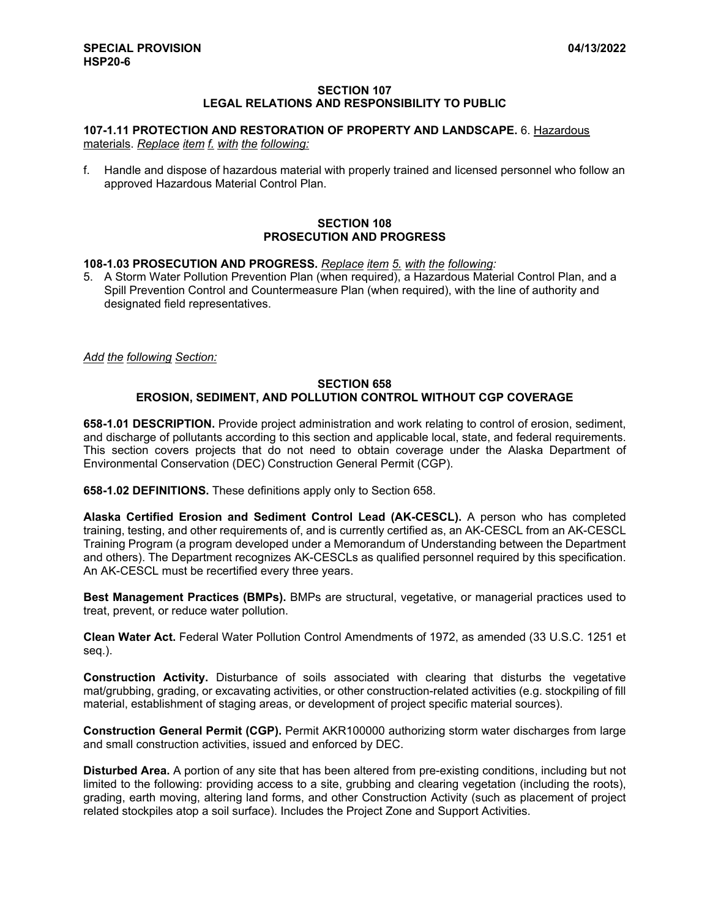#### **SECTION 107 LEGAL RELATIONS AND RESPONSIBILITY TO PUBLIC**

# **107-1.11 PROTECTION AND RESTORATION OF PROPERTY AND LANDSCAPE.** 6. Hazardous

materials. *Replace item f. with the following:*

f. Handle and dispose of hazardous material with properly trained and licensed personnel who follow an approved Hazardous Material Control Plan.

#### **SECTION 108 PROSECUTION AND PROGRESS**

#### **108-1.03 PROSECUTION AND PROGRESS.** *Replace item 5. with the following:*

5. A Storm Water Pollution Prevention Plan (when required), a Hazardous Material Control Plan, and a Spill Prevention Control and Countermeasure Plan (when required), with the line of authority and designated field representatives.

*Add the following Section:*

### **SECTION 658 EROSION, SEDIMENT, AND POLLUTION CONTROL WITHOUT CGP COVERAGE**

**658-1.01 DESCRIPTION.** Provide project administration and work relating to control of erosion, sediment, and discharge of pollutants according to this section and applicable local, state, and federal requirements. This section covers projects that do not need to obtain coverage under the Alaska Department of Environmental Conservation (DEC) Construction General Permit (CGP).

**658-1.02 DEFINITIONS.** These definitions apply only to Section 658.

**Alaska Certified Erosion and Sediment Control Lead (AK-CESCL).** A person who has completed training, testing, and other requirements of, and is currently certified as, an AK-CESCL from an AK-CESCL Training Program (a program developed under a Memorandum of Understanding between the Department and others). The Department recognizes AK-CESCLs as qualified personnel required by this specification. An AK-CESCL must be recertified every three years.

**Best Management Practices (BMPs).** BMPs are structural, vegetative, or managerial practices used to treat, prevent, or reduce water pollution.

**Clean Water Act.** Federal Water Pollution Control Amendments of 1972, as amended (33 U.S.C. 1251 et seq.).

**Construction Activity.** Disturbance of soils associated with clearing that disturbs the vegetative mat/grubbing, grading, or excavating activities, or other construction-related activities (e.g. stockpiling of fill material, establishment of staging areas, or development of project specific material sources).

**Construction General Permit (CGP).** Permit AKR100000 authorizing storm water discharges from large and small construction activities, issued and enforced by DEC.

**Disturbed Area.** A portion of any site that has been altered from pre-existing conditions, including but not limited to the following: providing access to a site, grubbing and clearing vegetation (including the roots), grading, earth moving, altering land forms, and other Construction Activity (such as placement of project related stockpiles atop a soil surface). Includes the Project Zone and Support Activities.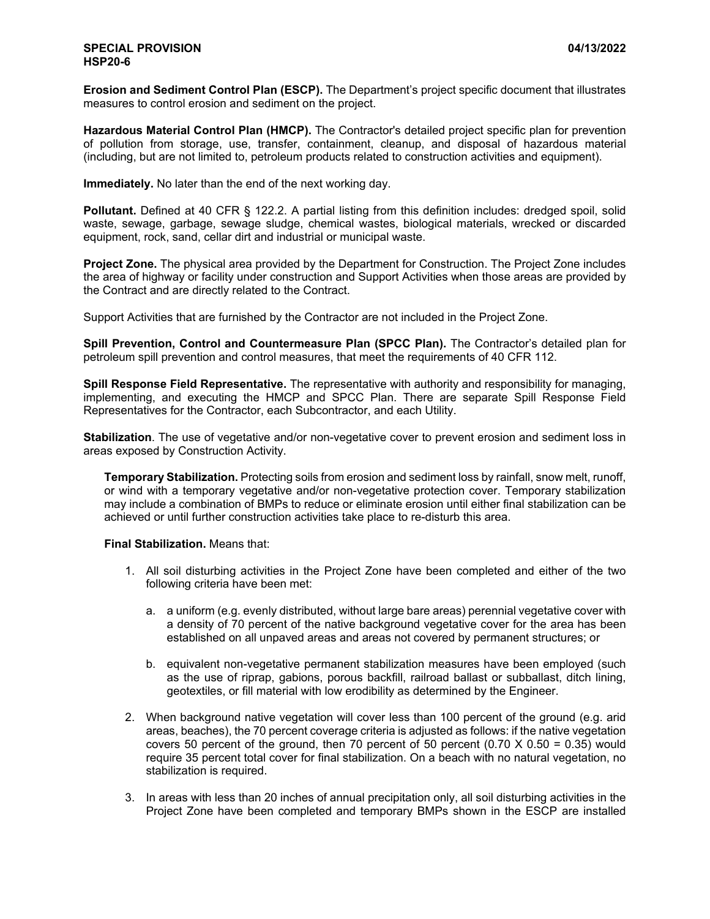**Erosion and Sediment Control Plan (ESCP).** The Department's project specific document that illustrates measures to control erosion and sediment on the project.

**Hazardous Material Control Plan (HMCP).** The Contractor's detailed project specific plan for prevention of pollution from storage, use, transfer, containment, cleanup, and disposal of hazardous material (including, but are not limited to, petroleum products related to construction activities and equipment).

**Immediately.** No later than the end of the next working day.

**Pollutant.** Defined at 40 CFR § 122.2. A partial listing from this definition includes: dredged spoil, solid waste, sewage, garbage, sewage sludge, chemical wastes, biological materials, wrecked or discarded equipment, rock, sand, cellar dirt and industrial or municipal waste.

**Project Zone.** The physical area provided by the Department for Construction. The Project Zone includes the area of highway or facility under construction and Support Activities when those areas are provided by the Contract and are directly related to the Contract.

Support Activities that are furnished by the Contractor are not included in the Project Zone.

**Spill Prevention, Control and Countermeasure Plan (SPCC Plan).** The Contractor's detailed plan for petroleum spill prevention and control measures, that meet the requirements of 40 CFR 112.

**Spill Response Field Representative.** The representative with authority and responsibility for managing, implementing, and executing the HMCP and SPCC Plan. There are separate Spill Response Field Representatives for the Contractor, each Subcontractor, and each Utility.

**Stabilization**. The use of vegetative and/or non-vegetative cover to prevent erosion and sediment loss in areas exposed by Construction Activity.

**Temporary Stabilization.** Protecting soils from erosion and sediment loss by rainfall, snow melt, runoff, or wind with a temporary vegetative and/or non-vegetative protection cover. Temporary stabilization may include a combination of BMPs to reduce or eliminate erosion until either final stabilization can be achieved or until further construction activities take place to re-disturb this area.

## **Final Stabilization.** Means that:

- 1. All soil disturbing activities in the Project Zone have been completed and either of the two following criteria have been met:
	- a. a uniform (e.g. evenly distributed, without large bare areas) perennial vegetative cover with a density of 70 percent of the native background vegetative cover for the area has been established on all unpaved areas and areas not covered by permanent structures; or
	- b. equivalent non-vegetative permanent stabilization measures have been employed (such as the use of riprap, gabions, porous backfill, railroad ballast or subballast, ditch lining, geotextiles, or fill material with low erodibility as determined by the Engineer.
- 2. When background native vegetation will cover less than 100 percent of the ground (e.g. arid areas, beaches), the 70 percent coverage criteria is adjusted as follows: if the native vegetation covers 50 percent of the ground, then 70 percent of 50 percent  $(0.70 \times 0.50 = 0.35)$  would require 35 percent total cover for final stabilization. On a beach with no natural vegetation, no stabilization is required.
- 3. In areas with less than 20 inches of annual precipitation only, all soil disturbing activities in the Project Zone have been completed and temporary BMPs shown in the ESCP are installed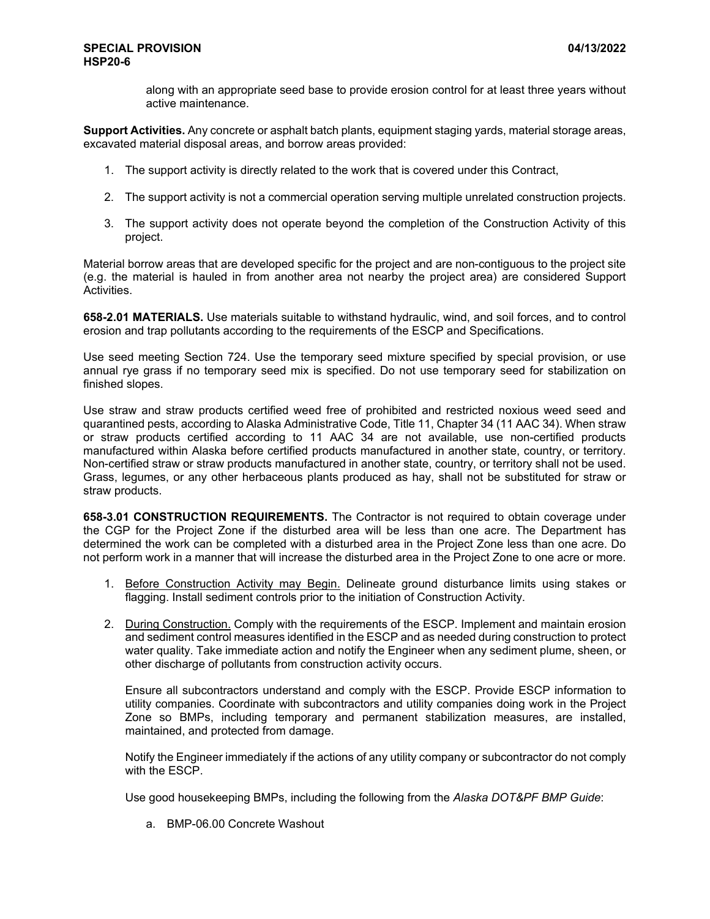along with an appropriate seed base to provide erosion control for at least three years without active maintenance.

**Support Activities.** Any concrete or asphalt batch plants, equipment staging yards, material storage areas, excavated material disposal areas, and borrow areas provided:

- 1. The support activity is directly related to the work that is covered under this Contract,
- 2. The support activity is not a commercial operation serving multiple unrelated construction projects.
- 3. The support activity does not operate beyond the completion of the Construction Activity of this project.

Material borrow areas that are developed specific for the project and are non-contiguous to the project site (e.g. the material is hauled in from another area not nearby the project area) are considered Support Activities.

**658-2.01 MATERIALS.** Use materials suitable to withstand hydraulic, wind, and soil forces, and to control erosion and trap pollutants according to the requirements of the ESCP and Specifications.

Use seed meeting Section 724. Use the temporary seed mixture specified by special provision, or use annual rye grass if no temporary seed mix is specified. Do not use temporary seed for stabilization on finished slopes.

Use straw and straw products certified weed free of prohibited and restricted noxious weed seed and quarantined pests, according to Alaska Administrative Code, Title 11, Chapter 34 (11 AAC 34). When straw or straw products certified according to 11 AAC 34 are not available, use non-certified products manufactured within Alaska before certified products manufactured in another state, country, or territory. Non-certified straw or straw products manufactured in another state, country, or territory shall not be used. Grass, legumes, or any other herbaceous plants produced as hay, shall not be substituted for straw or straw products.

**658-3.01 CONSTRUCTION REQUIREMENTS.** The Contractor is not required to obtain coverage under the CGP for the Project Zone if the disturbed area will be less than one acre. The Department has determined the work can be completed with a disturbed area in the Project Zone less than one acre. Do not perform work in a manner that will increase the disturbed area in the Project Zone to one acre or more.

- 1. Before Construction Activity may Begin. Delineate ground disturbance limits using stakes or flagging. Install sediment controls prior to the initiation of Construction Activity.
- 2. During Construction. Comply with the requirements of the ESCP. Implement and maintain erosion and sediment control measures identified in the ESCP and as needed during construction to protect water quality. Take immediate action and notify the Engineer when any sediment plume, sheen, or other discharge of pollutants from construction activity occurs.

Ensure all subcontractors understand and comply with the ESCP. Provide ESCP information to utility companies. Coordinate with subcontractors and utility companies doing work in the Project Zone so BMPs, including temporary and permanent stabilization measures, are installed, maintained, and protected from damage.

Notify the Engineer immediately if the actions of any utility company or subcontractor do not comply with the ESCP.

Use good housekeeping BMPs, including the following from the *Alaska DOT&PF BMP Guide*:

a. BMP-06.00 Concrete Washout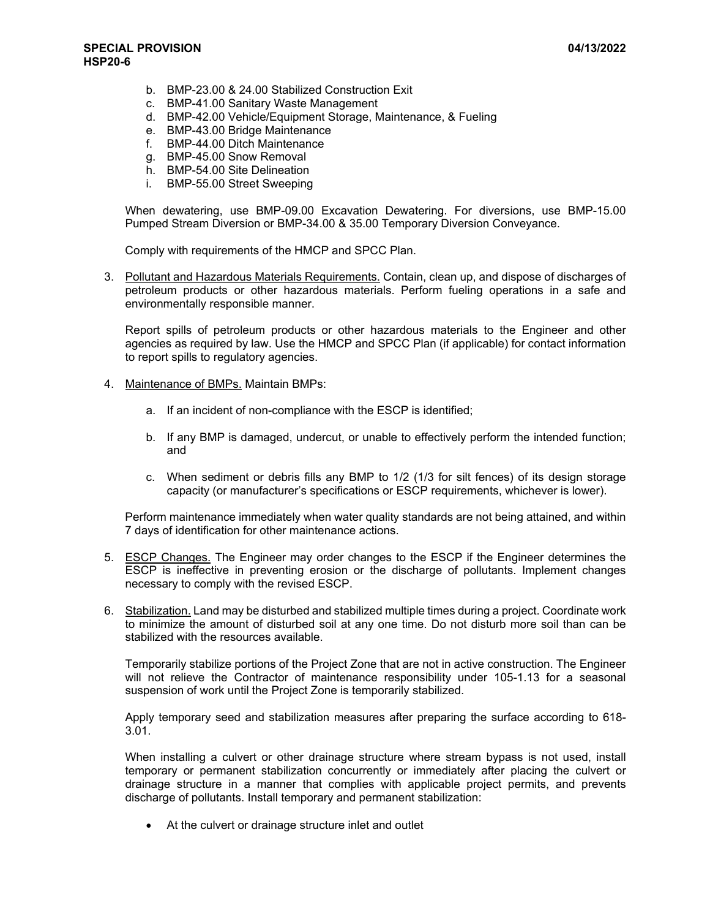- b. BMP-23.00 & 24.00 Stabilized Construction Exit
- c. BMP-41.00 Sanitary Waste Management
- d. BMP-42.00 Vehicle/Equipment Storage, Maintenance, & Fueling
- e. BMP-43.00 Bridge Maintenance
- f. BMP-44.00 Ditch Maintenance
- g. BMP-45.00 Snow Removal
- h. BMP-54.00 Site Delineation
- i. BMP-55.00 Street Sweeping

When dewatering, use BMP-09.00 Excavation Dewatering. For diversions, use BMP-15.00 Pumped Stream Diversion or BMP-34.00 & 35.00 Temporary Diversion Conveyance.

Comply with requirements of the HMCP and SPCC Plan.

3. Pollutant and Hazardous Materials Requirements. Contain, clean up, and dispose of discharges of petroleum products or other hazardous materials. Perform fueling operations in a safe and environmentally responsible manner.

Report spills of petroleum products or other hazardous materials to the Engineer and other agencies as required by law. Use the HMCP and SPCC Plan (if applicable) for contact information to report spills to regulatory agencies.

- 4. Maintenance of BMPs. Maintain BMPs:
	- a. If an incident of non-compliance with the ESCP is identified;
	- b. If any BMP is damaged, undercut, or unable to effectively perform the intended function; and
	- c. When sediment or debris fills any BMP to 1/2 (1/3 for silt fences) of its design storage capacity (or manufacturer's specifications or ESCP requirements, whichever is lower).

Perform maintenance immediately when water quality standards are not being attained, and within 7 days of identification for other maintenance actions.

- 5. ESCP Changes. The Engineer may order changes to the ESCP if the Engineer determines the ESCP is ineffective in preventing erosion or the discharge of pollutants. Implement changes necessary to comply with the revised ESCP.
- 6. Stabilization. Land may be disturbed and stabilized multiple times during a project. Coordinate work to minimize the amount of disturbed soil at any one time. Do not disturb more soil than can be stabilized with the resources available.

Temporarily stabilize portions of the Project Zone that are not in active construction. The Engineer will not relieve the Contractor of maintenance responsibility under 105-1.13 for a seasonal suspension of work until the Project Zone is temporarily stabilized.

Apply temporary seed and stabilization measures after preparing the surface according to 618- 3.01.

When installing a culvert or other drainage structure where stream bypass is not used, install temporary or permanent stabilization concurrently or immediately after placing the culvert or drainage structure in a manner that complies with applicable project permits, and prevents discharge of pollutants. Install temporary and permanent stabilization:

• At the culvert or drainage structure inlet and outlet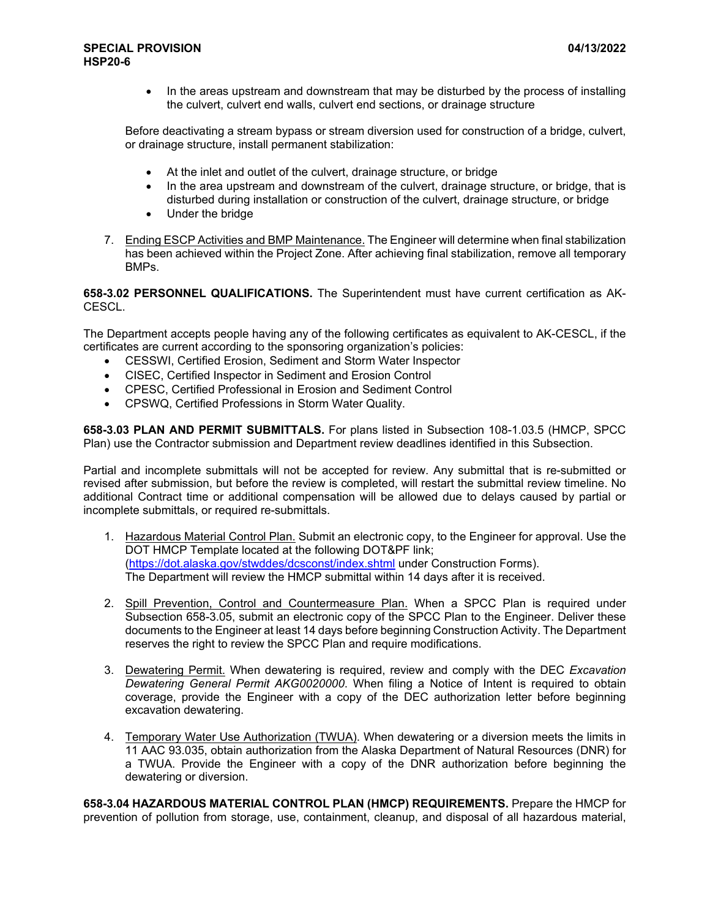• In the areas upstream and downstream that may be disturbed by the process of installing the culvert, culvert end walls, culvert end sections, or drainage structure

Before deactivating a stream bypass or stream diversion used for construction of a bridge, culvert, or drainage structure, install permanent stabilization:

- At the inlet and outlet of the culvert, drainage structure, or bridge
- In the area upstream and downstream of the culvert, drainage structure, or bridge, that is disturbed during installation or construction of the culvert, drainage structure, or bridge
- Under the bridge
- 7. Ending ESCP Activities and BMP Maintenance. The Engineer will determine when final stabilization has been achieved within the Project Zone. After achieving final stabilization, remove all temporary BMPs.

**658-3.02 PERSONNEL QUALIFICATIONS.** The Superintendent must have current certification as AK-CESCL.

The Department accepts people having any of the following certificates as equivalent to AK-CESCL, if the certificates are current according to the sponsoring organization's policies:

- CESSWI, Certified Erosion, Sediment and Storm Water Inspector
- CISEC, Certified Inspector in Sediment and Erosion Control
- CPESC, Certified Professional in Erosion and Sediment Control
- CPSWQ, Certified Professions in Storm Water Quality.

**658-3.03 PLAN AND PERMIT SUBMITTALS.** For plans listed in Subsection 108-1.03.5 (HMCP, SPCC Plan) use the Contractor submission and Department review deadlines identified in this Subsection.

Partial and incomplete submittals will not be accepted for review. Any submittal that is re-submitted or revised after submission, but before the review is completed, will restart the submittal review timeline. No additional Contract time or additional compensation will be allowed due to delays caused by partial or incomplete submittals, or required re-submittals.

- 1. Hazardous Material Control Plan. Submit an electronic copy, to the Engineer for approval. Use the DOT HMCP Template located at the following DOT&PF link; [\(https://dot.alaska.gov/stwddes/dcsconst/index.shtml](https://dot.alaska.gov/stwddes/dcsconst/index.shtml) under Construction Forms). The Department will review the HMCP submittal within 14 days after it is received.
- 2. Spill Prevention, Control and Countermeasure Plan. When a SPCC Plan is required under Subsection 658-3.05, submit an electronic copy of the SPCC Plan to the Engineer. Deliver these documents to the Engineer at least 14 days before beginning Construction Activity. The Department reserves the right to review the SPCC Plan and require modifications.
- 3. Dewatering Permit. When dewatering is required, review and comply with the DEC *Excavation Dewatering General Permit AKG0020000*. When filing a Notice of Intent is required to obtain coverage, provide the Engineer with a copy of the DEC authorization letter before beginning excavation dewatering.
- 4. Temporary Water Use Authorization (TWUA). When dewatering or a diversion meets the limits in 11 AAC 93.035, obtain authorization from the Alaska Department of Natural Resources (DNR) for a TWUA. Provide the Engineer with a copy of the DNR authorization before beginning the dewatering or diversion.

**658-3.04 HAZARDOUS MATERIAL CONTROL PLAN (HMCP) REQUIREMENTS.** Prepare the HMCP for prevention of pollution from storage, use, containment, cleanup, and disposal of all hazardous material,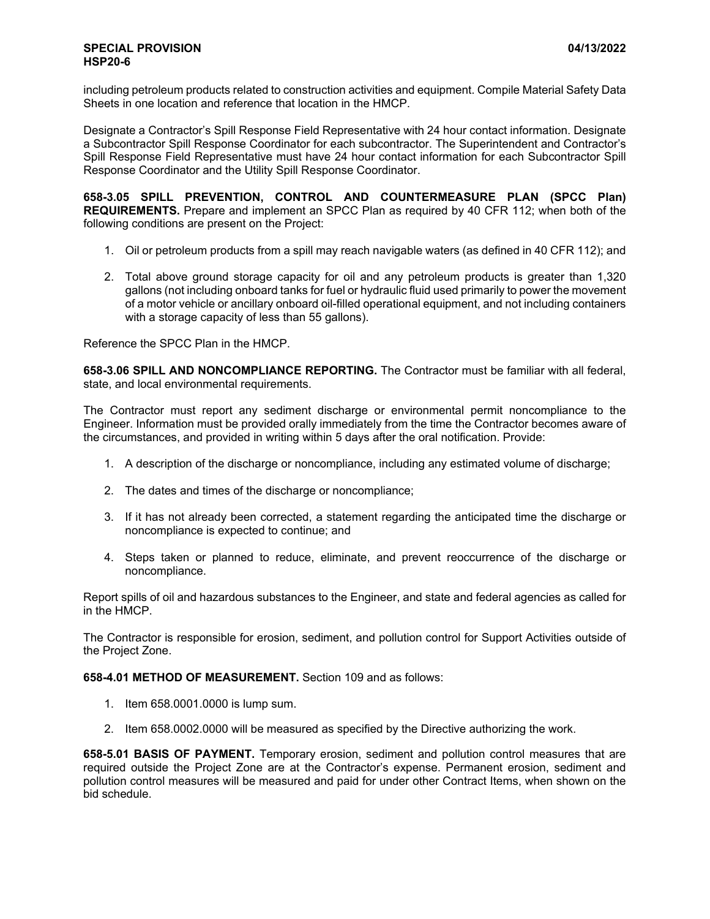including petroleum products related to construction activities and equipment. Compile Material Safety Data Sheets in one location and reference that location in the HMCP.

Designate a Contractor's Spill Response Field Representative with 24 hour contact information. Designate a Subcontractor Spill Response Coordinator for each subcontractor. The Superintendent and Contractor's Spill Response Field Representative must have 24 hour contact information for each Subcontractor Spill Response Coordinator and the Utility Spill Response Coordinator.

**658-3.05 SPILL PREVENTION, CONTROL AND COUNTERMEASURE PLAN (SPCC Plan) REQUIREMENTS.** Prepare and implement an SPCC Plan as required by 40 CFR 112; when both of the following conditions are present on the Project:

- 1. Oil or petroleum products from a spill may reach navigable waters (as defined in 40 CFR 112); and
- 2. Total above ground storage capacity for oil and any petroleum products is greater than 1,320 gallons (not including onboard tanks for fuel or hydraulic fluid used primarily to power the movement of a motor vehicle or ancillary onboard oil-filled operational equipment, and not including containers with a storage capacity of less than 55 gallons).

Reference the SPCC Plan in the HMCP.

**658-3.06 SPILL AND NONCOMPLIANCE REPORTING.** The Contractor must be familiar with all federal, state, and local environmental requirements.

The Contractor must report any sediment discharge or environmental permit noncompliance to the Engineer. Information must be provided orally immediately from the time the Contractor becomes aware of the circumstances, and provided in writing within 5 days after the oral notification. Provide:

- 1. A description of the discharge or noncompliance, including any estimated volume of discharge;
- 2. The dates and times of the discharge or noncompliance;
- 3. If it has not already been corrected, a statement regarding the anticipated time the discharge or noncompliance is expected to continue; and
- 4. Steps taken or planned to reduce, eliminate, and prevent reoccurrence of the discharge or noncompliance.

Report spills of oil and hazardous substances to the Engineer, and state and federal agencies as called for in the HMCP.

The Contractor is responsible for erosion, sediment, and pollution control for Support Activities outside of the Project Zone.

**658-4.01 METHOD OF MEASUREMENT.** Section 109 and as follows:

- 1. Item 658.0001.0000 is lump sum.
- 2. Item 658.0002.0000 will be measured as specified by the Directive authorizing the work.

**658-5.01 BASIS OF PAYMENT.** Temporary erosion, sediment and pollution control measures that are required outside the Project Zone are at the Contractor's expense. Permanent erosion, sediment and pollution control measures will be measured and paid for under other Contract Items, when shown on the bid schedule.